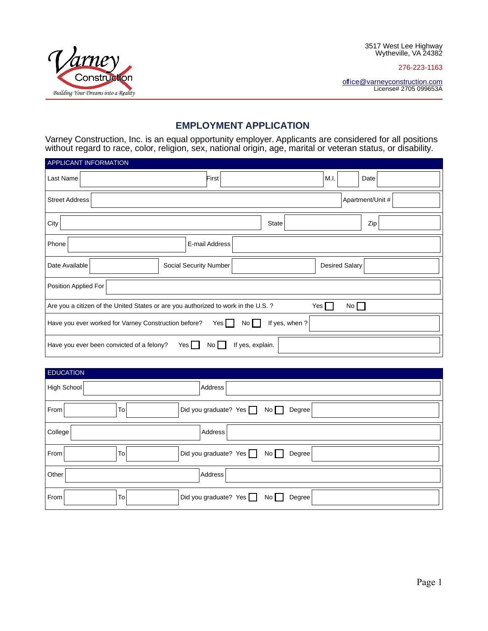276-223-1163





## **EMPLOYMENT APPLICATION**

Varney Construction, Inc. is an equal opportunity employer. Applicants are considered for all positions without regard to race, color, religion, sex, national origin, age, marital or veteran status, or disability.

| <b>APPLICANT INFORMATION</b>                                                                      |                        |                       |      |  |
|---------------------------------------------------------------------------------------------------|------------------------|-----------------------|------|--|
| Last Name                                                                                         | First                  | M.I.                  | Date |  |
| Apartment/Unit #<br><b>Street Address</b>                                                         |                        |                       |      |  |
| City                                                                                              |                        | <b>State</b>          | Zip  |  |
| Phone                                                                                             | E-mail Address         |                       |      |  |
| Date Available                                                                                    | Social Security Number | <b>Desired Salary</b> |      |  |
| Position Applied For                                                                              |                        |                       |      |  |
| Are you a citizen of the United States or are you authorized to work in the U.S. ?<br>Yes  <br>No |                        |                       |      |  |
| If yes, when ?<br>Have you ever worked for Varney Construction before?<br>Yes  <br>No I           |                        |                       |      |  |
| Have you ever been convicted of a felony?<br>Yes  <br>If yes, explain.<br>No.                     |                        |                       |      |  |

| <b>EDUCATION</b>                                               |
|----------------------------------------------------------------|
| High School<br>Address                                         |
| Did you graduate? Yes $\Box$ No $\Box$<br>To<br>Degree<br>From |
| College<br>Address                                             |
| Did you graduate? Yes $\Box$ No $\Box$<br>To<br>Degree<br>From |
| Other<br>Address                                               |
| Did you graduate? Yes No<br>To<br>From<br>Degree               |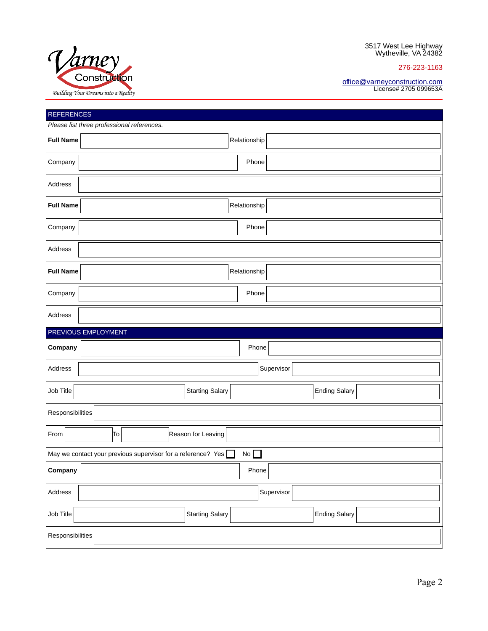276-223-1163



#### [office@varneyconstruction.com](mailto:office@varneyconstruction.com) License# 2705 099653A

| <b>REFERENCES</b> |                                                                    |
|-------------------|--------------------------------------------------------------------|
|                   | Please list three professional references.                         |
| <b>Full Name</b>  | Relationship                                                       |
| Company           | Phone                                                              |
| Address           |                                                                    |
| <b>Full Name</b>  | Relationship                                                       |
| Company           | Phone                                                              |
| Address           |                                                                    |
| <b>Full Name</b>  | Relationship                                                       |
| Company           | Phone                                                              |
| Address           |                                                                    |
|                   |                                                                    |
|                   | PREVIOUS EMPLOYMENT                                                |
| Company           | Phone                                                              |
| Address           | Supervisor                                                         |
| Job Title         | <b>Starting Salary</b><br><b>Ending Salary</b>                     |
| Responsibilities  |                                                                    |
| From              | Reason for Leaving<br>To                                           |
|                   | No<br>May we contact your previous supervisor for a reference? Yes |
| Company           | Phone                                                              |
| Address           | Supervisor                                                         |
| Job Title         | <b>Starting Salary</b><br><b>Ending Salary</b>                     |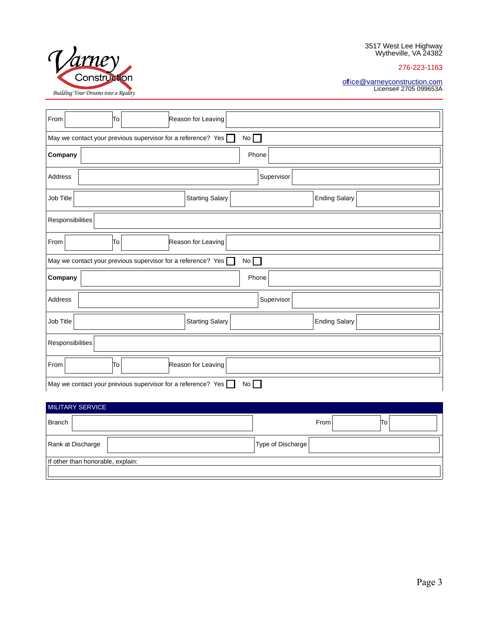276-223-1163



#### [office@varneyconstruction.com](mailto:office@varneyconstruction.com) License# 2705 099653A

| From                                                                      | Reason for Leaving<br>Tо                       |  |  |  |
|---------------------------------------------------------------------------|------------------------------------------------|--|--|--|
| May we contact your previous supervisor for a reference? Yes $\Box$<br>No |                                                |  |  |  |
| Company                                                                   | Phone                                          |  |  |  |
| Address                                                                   | Supervisor                                     |  |  |  |
| Job Title                                                                 | <b>Starting Salary</b><br><b>Ending Salary</b> |  |  |  |
| Responsibilities                                                          |                                                |  |  |  |
| From                                                                      | To<br>Reason for Leaving                       |  |  |  |
| May we contact your previous supervisor for a reference? Yes $\Box$<br>No |                                                |  |  |  |
| Company                                                                   | Phone                                          |  |  |  |
| Address                                                                   | Supervisor                                     |  |  |  |
| Job Title                                                                 | <b>Starting Salary</b><br><b>Ending Salary</b> |  |  |  |
| Responsibilities                                                          |                                                |  |  |  |
| From<br>To<br>Reason for Leaving                                          |                                                |  |  |  |
| May we contact your previous supervisor for a reference? Yes<br>No        |                                                |  |  |  |

# MILITARY SERVICE Branch From To Rank at Discharge **Type of Discharge** Type of Discharge If other than honorable, explain: